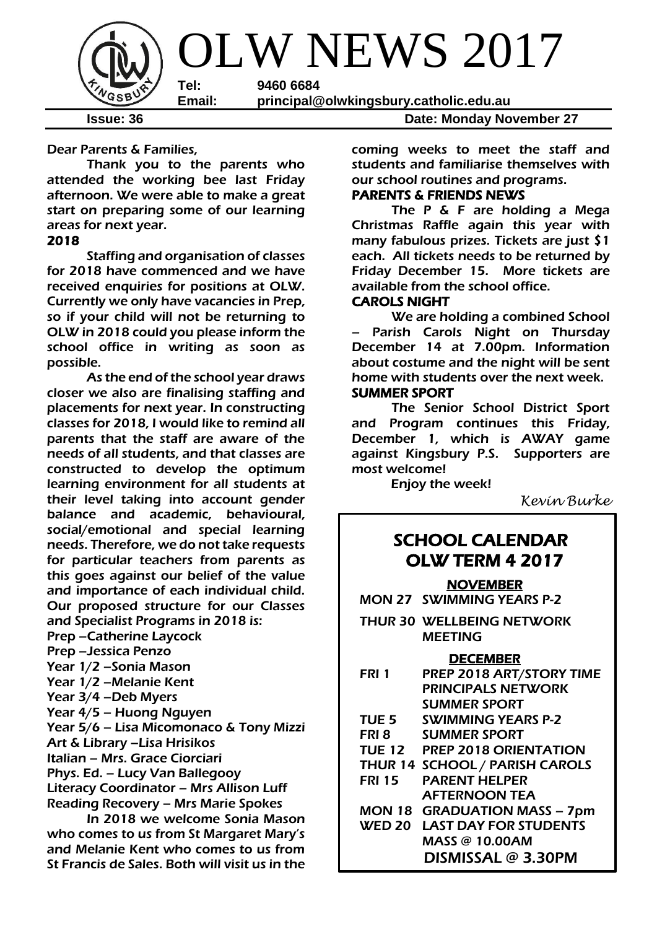

Dear Parents & Families,

Thank you to the parents who attended the working bee last Friday afternoon. We were able to make a great start on preparing some of our learning areas for next year.

### 2018

 Staffing and organisation of classes for 2018 have commenced and we have received enquiries for positions at OLW. Currently we only have vacancies in Prep, so if your child will not be returning to OLW in 2018 could you please inform the school office in writing as soon as possible.

As the end of the school year draws closer we also are finalising staffing and placements for next year. In constructing classes for 2018, I would like to remind all parents that the staff are aware of the needs of all students, and that classes are constructed to develop the optimum learning environment for all students at their level taking into account gender balance and academic, behavioural, social/emotional and special learning needs. Therefore, we do not take requests for particular teachers from parents as this goes against our belief of the value and importance of each individual child. Our proposed structure for our Classes and Specialist Programs in 2018 is: Prep –Catherine Laycock Prep –Jessica Penzo Year 1/2 –Sonia Mason Year 1/2 –Melanie Kent Year 3/4 –Deb Myers Year 4/5 – Huong Nguyen Year 5/6 – Lisa Micomonaco & Tony Mizzi Art & Library –Lisa Hrisikos Italian – Mrs. Grace Ciorciari Phys. Ed. – Lucy Van Ballegooy Literacy Coordinator – Mrs Allison Luff Reading Recovery – Mrs Marie Spokes

In 2018 we welcome Sonia Mason who comes to us from St Margaret Mary's and Melanie Kent who comes to us from St Francis de Sales. Both will visit us in the

coming weeks to meet the staff and students and familiarise themselves with our school routines and programs.

### PARENTS & FRIENDS NEWS

The P & F are holding a Mega Christmas Raffle again this year with many fabulous prizes. Tickets are just \$1 each. All tickets needs to be returned by Friday December 15. More tickets are available from the school office.

### CAROLS NIGHT

We are holding a combined School Parish Carols Night on Thursday December 14 at 7.00pm. Information about costume and the night will be sent home with students over the next week.

### SUMMER SPORT

The Senior School District Sport and Program continues this Friday, December 1, which is AWAY game against Kingsbury P.S. Supporters are most welcome!

Enjoy the week!

*Kevin Burke*

### SCHOOL CALENDAR OLW TERM 4 2017

#### NOVEMBER

- MON 27 SWIMMING YEARS P-2
- THUR 30 WELLBEING NETWORK **MEETING**

#### **DECEMBER**

| FRI 1            | PREP 2018 ART/STORY TIME            |
|------------------|-------------------------------------|
|                  | <b>PRINCIPALS NETWORK</b>           |
|                  | <b>SUMMER SPORT</b>                 |
| TUE <sub>5</sub> | <b>SWIMMING YEARS P-2</b>           |
| FRI <sub>8</sub> | <b>SUMMER SPORT</b>                 |
|                  | TUE 12 PREP 2018 ORIENTATION        |
|                  | THUR 14 SCHOOL / PARISH CAROLS      |
| <b>FRI 15</b>    | <b>PARENT HELPER</b>                |
|                  | <b>AFTERNOON TEA</b>                |
|                  | <b>MON 18 GRADUATION MASS - 7pm</b> |
| <b>WED 20</b>    | <b>LAST DAY FOR STUDENTS</b>        |
|                  | MASS @ 10.00AM                      |
|                  | DISMISSAL @ 3.30PM                  |
|                  |                                     |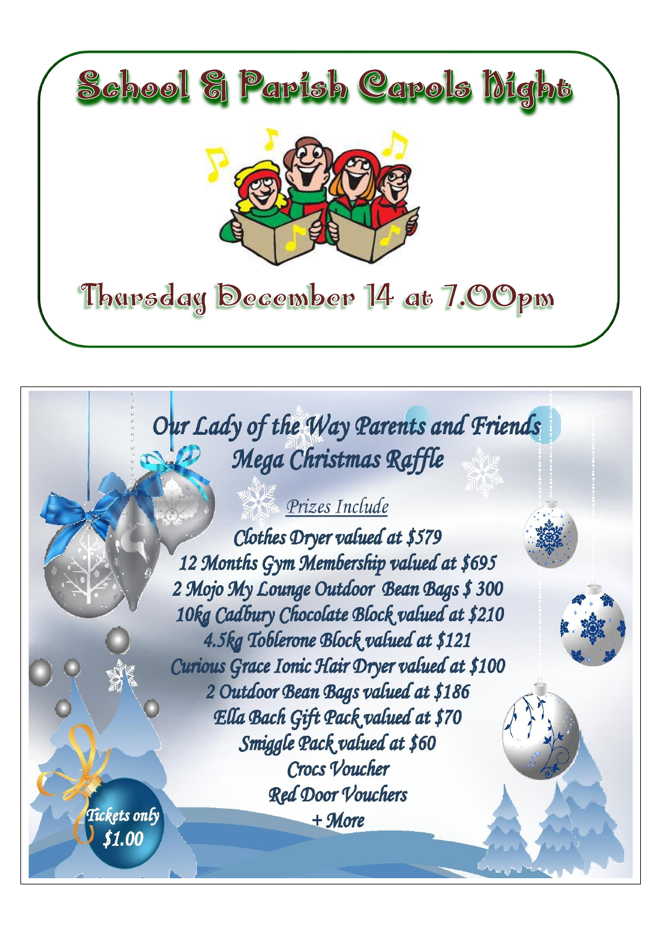

# Our Lady of the Way Parents and Friends Mega Christmas Raffle

## Prizes Include

Clothes Dryer valued at \$579 12 Months Gym Membership valued at \$695 2 Mojo My Lounge Outdoor Bean Bags \$ 300 10kg Cadbury Chocolate Block valued at \$210 4.5kg Toblerone Block valued at \$121 Curious Grace Ionic Hair Dryer valued at \$100 2 Outdoor Bean Bags valued at \$186 Ella Bach Gift Pack valued at \$70 Smiggle Pack valued at \$60 Crocs Voucher Red Door Vouchers  $+$  More

Tickets only \$1.00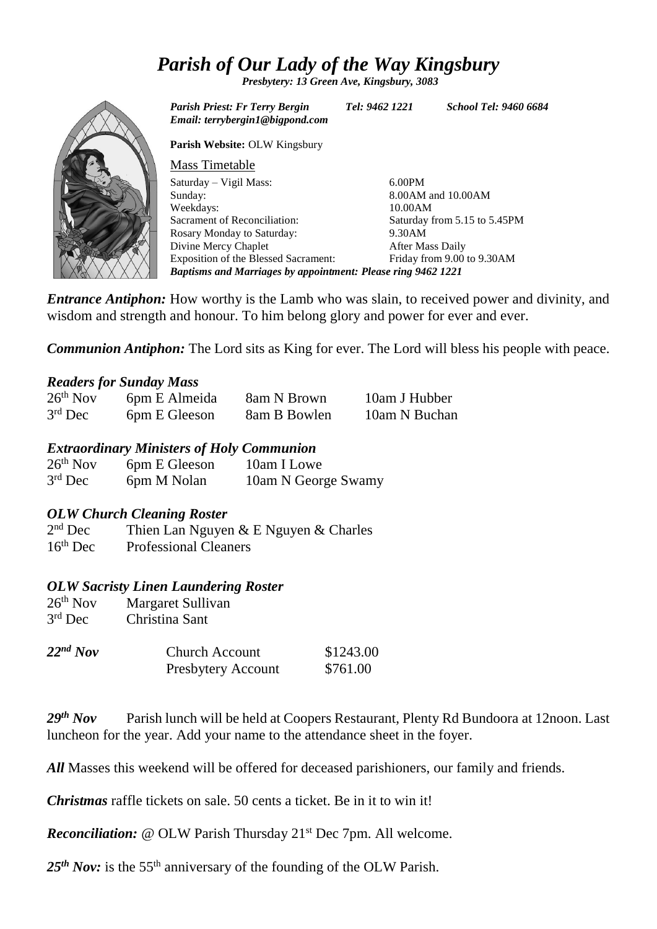### *Parish of Our Lady of the Way Kingsbury*

*Presbytery: 13 Green Ave, Kingsbury, 3083*



*Parish Priest: Fr Terry Bergin Tel: 9462 1221 School Tel: 9460 6684 Email: terrybergin1@bigpond.com* **Parish Website:** OLW Kingsbury Mass Timetable Saturday – Vigil Mass: Sunday: Weekdays: Sacrament of Reconciliation: Rosary Monday to Saturday: Divine Mercy Chaplet Exposition of the Blessed Sacrament: 6.00PM 8.00AM and 10.00AM 10.00AM Saturday from 5.15 to 5.45PM 9.30AM After Mass Daily Friday from 9.00 to 9.30AM

*Baptisms and Marriages by appointment: Please ring 9462 1221*

*Entrance Antiphon:* How worthy is the Lamb who was slain, to received power and divinity, and wisdom and strength and honour. To him belong glory and power for ever and ever.

*Communion Antiphon:* The Lord sits as King for ever. The Lord will bless his people with peace.

### *Readers for Sunday Mass*

| $26th$ Nov | 6pm E Almeida | 8am N Brown  | 10am J Hubber |
|------------|---------------|--------------|---------------|
| $3rd$ Dec  | 6pm E Gleeson | 8am B Bowlen | 10am N Buchan |

### *Extraordinary Ministers of Holy Communion*

| $26th$ Nov | 6pm E Gleeson | 10am I Lowe         |
|------------|---------------|---------------------|
| $3rd$ Dec  | 6pm M Nolan   | 10am N George Swamy |

### *OLW Church Cleaning Roster*

 $2<sup>nd</sup>$  Dec Thien Lan Nguyen  $& E$  Nguyen  $& Charles$ 16th Dec Professional Cleaners

### *OLW Sacristy Linen Laundering Roster*

| $26th$ Nov          | Margaret Sullivan        |
|---------------------|--------------------------|
| $3rd$ Dec           | Christina Sant           |
| $22nd$ $N_{\Omega}$ | $Church$ $\Delta$ ccount |

| $22^{nd}$ Nov | <b>Church Account</b> | \$1243.00 |
|---------------|-----------------------|-----------|
|               | Presbytery Account    | \$761.00  |

29<sup>th</sup> Nov Parish lunch will be held at Coopers Restaurant, Plenty Rd Bundoora at 12noon. Last luncheon for the year. Add your name to the attendance sheet in the foyer.

All Masses this weekend will be offered for deceased parishioners, our family and friends.

*Christmas* raffle tickets on sale. 50 cents a ticket. Be in it to win it!

*Reconciliation:* @ OLW Parish Thursday 21<sup>st</sup> Dec 7pm. All welcome.

25<sup>th</sup> Nov: is the 55<sup>th</sup> anniversary of the founding of the OLW Parish.